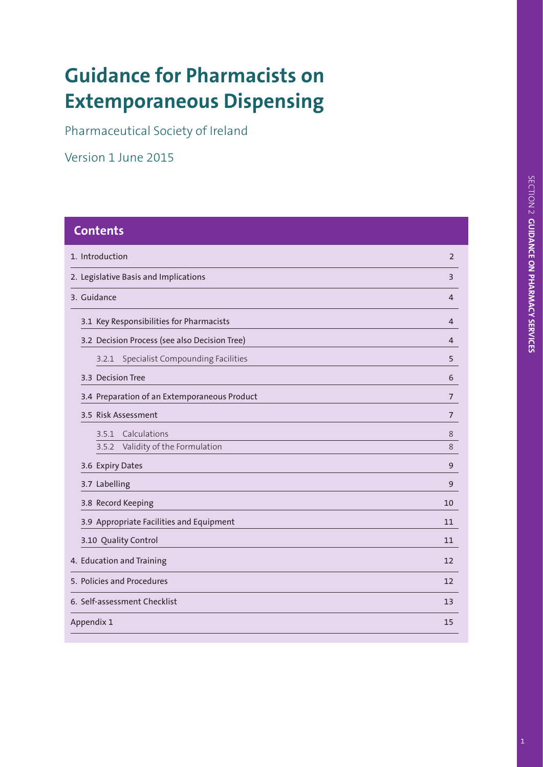# **Guidance for Pharmacists on Extemporaneous Dispensing**

Pharmaceutical Society of Ireland

Version 1 June 2015

| <b>Contents</b>                               |                |
|-----------------------------------------------|----------------|
| 1. Introduction                               | $\overline{2}$ |
| 2. Legislative Basis and Implications         | 3              |
| 3. Guidance                                   | 4              |
| 3.1 Key Responsibilities for Pharmacists      | 4              |
| 3.2 Decision Process (see also Decision Tree) | 4              |
| Specialist Compounding Facilities<br>3.2.1    | 5              |
| 3.3 Decision Tree                             | 6              |
| 3.4 Preparation of an Extemporaneous Product  | 7              |
| 3.5 Risk Assessment                           | 7              |
| Calculations<br>3.5.1                         | 8              |
| Validity of the Formulation<br>3.5.2          | 8              |
| 3.6 Expiry Dates                              | 9              |
| 3.7 Labelling                                 | 9              |
| 3.8 Record Keeping                            | 10             |
| 3.9 Appropriate Facilities and Equipment      | 11             |
| 3.10 Quality Control                          | 11             |
| 4. Education and Training                     | 12             |
| 5. Policies and Procedures                    | 12             |
| 6. Self-assessment Checklist                  | 13             |
| Appendix 1                                    | 15             |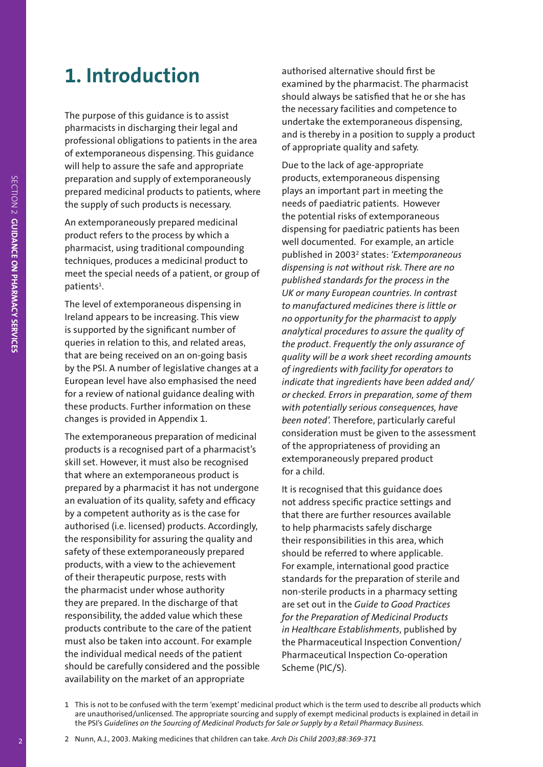## **1. Introduction**

The purpose of this guidance is to assist pharmacists in discharging their legal and professional obligations to patients in the area of extemporaneous dispensing. This guidance will help to assure the safe and appropriate preparation and supply of extemporaneously prepared medicinal products to patients, where the supply of such products is necessary.

An extemporaneously prepared medicinal product refers to the process by which a pharmacist, using traditional compounding techniques, produces a medicinal product to meet the special needs of a patient, or group of patients<sup>1</sup>.

The level of extemporaneous dispensing in Ireland appears to be increasing. This view is supported by the significant number of queries in relation to this, and related areas, that are being received on an on-going basis by the PSI. A number of legislative changes at a European level have also emphasised the need for a review of national guidance dealing with these products. Further information on these changes is provided in Appendix 1.

The extemporaneous preparation of medicinal products is a recognised part of a pharmacist's skill set. However, it must also be recognised that where an extemporaneous product is prepared by a pharmacist it has not undergone an evaluation of its quality, safety and efficacy by a competent authority as is the case for authorised (i.e. licensed) products. Accordingly, the responsibility for assuring the quality and safety of these extemporaneously prepared products, with a view to the achievement of their therapeutic purpose, rests with the pharmacist under whose authority they are prepared. In the discharge of that responsibility, the added value which these products contribute to the care of the patient must also be taken into account. For example the individual medical needs of the patient should be carefully considered and the possible availability on the market of an appropriate

authorised alternative should first be examined by the pharmacist. The pharmacist should always be satisfied that he or she has the necessary facilities and competence to undertake the extemporaneous dispensing, and is thereby in a position to supply a product of appropriate quality and safety.

Due to the lack of age-appropriate products, extemporaneous dispensing plays an important part in meeting the needs of paediatric patients. However the potential risks of extemporaneous dispensing for paediatric patients has been well documented. For example, an article published in 20032 states: *'Extemporaneous dispensing is not without risk. There are no published standards for the process in the UK or many European countries. In contrast to manufactured medicines there is little or no opportunity for the pharmacist to apply analytical procedures to assure the quality of the product. Frequently the only assurance of quality will be a work sheet recording amounts of ingredients with facility for operators to indicate that ingredients have been added and/ or checked. Errors in preparation, some of them with potentially serious consequences, have been noted'.* Therefore, particularly careful consideration must be given to the assessment of the appropriateness of providing an extemporaneously prepared product for a child.

It is recognised that this guidance does not address specific practice settings and that there are further resources available to help pharmacists safely discharge their responsibilities in this area, which should be referred to where applicable. For example, international good practice standards for the preparation of sterile and non-sterile products in a pharmacy setting are set out in the *Guide to Good Practices for the Preparation of Medicinal Products in Healthcare Establishments*, published by the Pharmaceutical Inspection Convention/ Pharmaceutical Inspection Co-operation Scheme (PIC/S).

<sup>1</sup> This is not to be confused with the term 'exempt' medicinal product which is the term used to describe all products which are unauthorised/unlicensed. The appropriate sourcing and supply of exempt medicinal products is explained in detail in the PSI's *Guidelines on the Sourcing of Medicinal Products for Sale or Supply by a Retail Pharmacy Business.*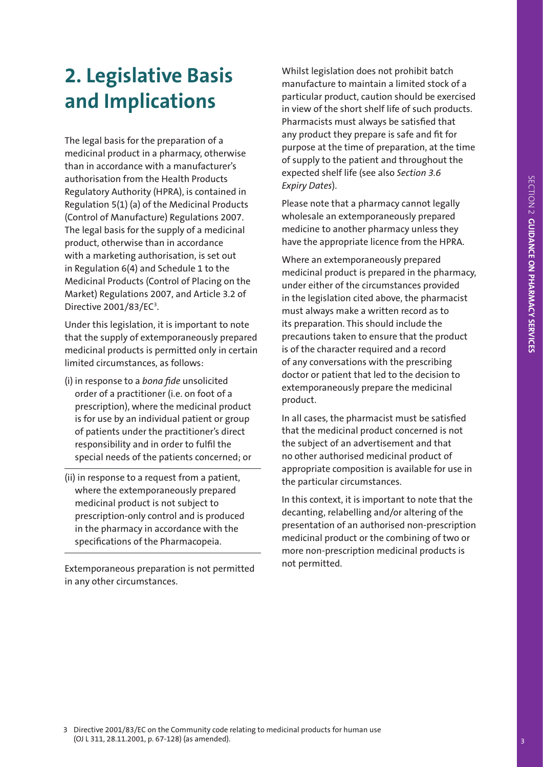## **2. Legislative Basis and Implications**

The legal basis for the preparation of a medicinal product in a pharmacy, otherwise than in accordance with a manufacturer's authorisation from the Health Products Regulatory Authority (HPRA), is contained in Regulation 5(1) (a) of the Medicinal Products (Control of Manufacture) Regulations 2007. The legal basis for the supply of a medicinal product, otherwise than in accordance with a marketing authorisation, is set out in Regulation 6(4) and Schedule 1 to the Medicinal Products (Control of Placing on the Market) Regulations 2007, and Article 3.2 of Directive 2001/83/EC<sup>3</sup>.

Under this legislation, it is important to note that the supply of extemporaneously prepared medicinal products is permitted only in certain limited circumstances, as follows:

- (i) in response to a *bona fide* unsolicited order of a practitioner (i.e. on foot of a prescription), where the medicinal product is for use by an individual patient or group of patients under the practitioner's direct responsibility and in order to fulfil the special needs of the patients concerned; or
- (ii) in response to a request from a patient, where the extemporaneously prepared medicinal product is not subject to prescription-only control and is produced in the pharmacy in accordance with the specifications of the Pharmacopeia.

Extemporaneous preparation is not permitted in any other circumstances.

Whilst legislation does not prohibit batch manufacture to maintain a limited stock of a particular product, caution should be exercised in view of the short shelf life of such products. Pharmacists must always be satisfied that any product they prepare is safe and fit for purpose at the time of preparation, at the time of supply to the patient and throughout the expected shelf life (see also *Section 3.6 Expiry Dates*).

Please note that a pharmacy cannot legally wholesale an extemporaneously prepared medicine to another pharmacy unless they have the appropriate licence from the HPRA.

Where an extemporaneously prepared medicinal product is prepared in the pharmacy, under either of the circumstances provided in the legislation cited above, the pharmacist must always make a written record as to its preparation. This should include the precautions taken to ensure that the product is of the character required and a record of any conversations with the prescribing doctor or patient that led to the decision to extemporaneously prepare the medicinal product.

In all cases, the pharmacist must be satisfied that the medicinal product concerned is not the subject of an advertisement and that no other authorised medicinal product of appropriate composition is available for use in the particular circumstances.

In this context, it is important to note that the decanting, relabelling and/or altering of the presentation of an authorised non-prescription medicinal product or the combining of two or more non-prescription medicinal products is not permitted.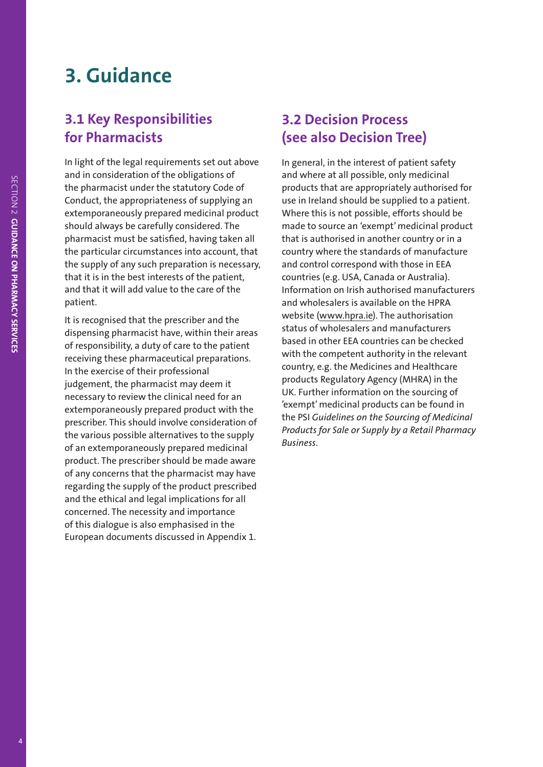## **3. Guidance**

### **3.1 Key Responsibilities for Pharmacists**

In light of the legal requirements set out above and in consideration of the obligations of the pharmacist under the statutory Code of Conduct, the appropriateness of supplying an extemporaneously prepared medicinal product should always be carefully considered. The pharmacist must be satisfied, having taken all the particular circumstances into account, that the supply of any such preparation is necessary, that it is in the best interests of the patient, and that it will add value to the care of the patient.

It is recognised that the prescriber and the dispensing pharmacist have, within their areas of responsibility, a duty of care to the patient receiving these pharmaceutical preparations. In the exercise of their professional judgement, the pharmacist may deem it necessary to review the clinical need for an extemporaneously prepared product with the prescriber. This should involve consideration of the various possible alternatives to the supply of an extemporaneously prepared medicinal product. The prescriber should be made aware of any concerns that the pharmacist may have regarding the supply of the product prescribed and the ethical and legal implications for all concerned. The necessity and importance of this dialogue is also emphasised in the European documents discussed in Appendix 1.

### **3.2 Decision Process (see also Decision Tree)**

In general, in the interest of patient safety and where at all possible, only medicinal products that are appropriately authorised for use in Ireland should be supplied to a patient. Where this is not possible, efforts should be made to source an 'exempt' medicinal product that is authorised in another country or in a country where the standards of manufacture and control correspond with those in EEA countries (e.g. USA, Canada or Australia). Information on Irish authorised manufacturers and wholesalers is available on the HPRA website [\(www.hpra.ie\)](http://www.hpra.ie). The authorisation status of wholesalers and manufacturers based in other EEA countries can be checked with the competent authority in the relevant country, e.g. the Medicines and Healthcare products Regulatory Agency (MHRA) in the UK. Further information on the sourcing of 'exempt' medicinal products can be found in the PSI *Guidelines on the Sourcing of Medicinal Products for Sale or Supply by a Retail Pharmacy Business*.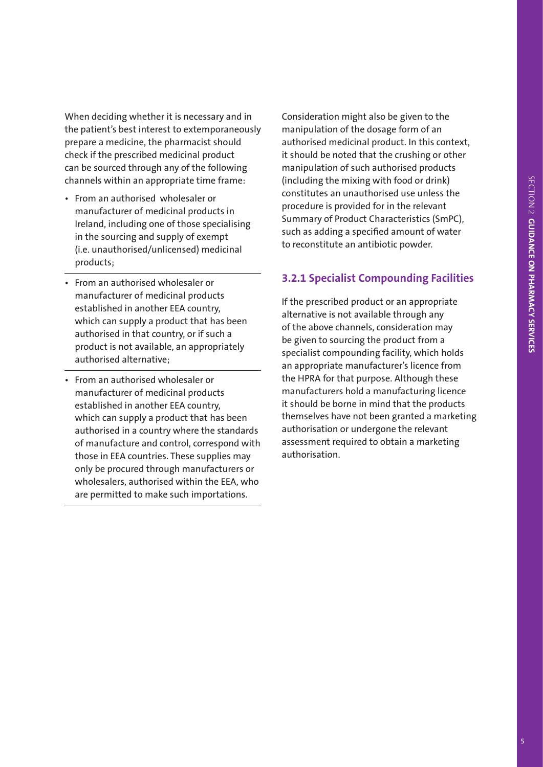When deciding whether it is necessary and in the patient's best interest to extemporaneously prepare a medicine, the pharmacist should check if the prescribed medicinal product can be sourced through any of the following channels within an appropriate time frame:

- • From an authorised wholesaler or manufacturer of medicinal products in Ireland, including one of those specialising in the sourcing and supply of exempt (i.e. unauthorised/unlicensed) medicinal products;
- • From an authorised wholesaler or manufacturer of medicinal products established in another EEA country, which can supply a product that has been authorised in that country, or if such a product is not available, an appropriately authorised alternative;
- • From an authorised wholesaler or manufacturer of medicinal products established in another EEA country, which can supply a product that has been authorised in a country where the standards of manufacture and control, correspond with those in EEA countries. These supplies may only be procured through manufacturers or wholesalers, authorised within the EEA, who are permitted to make such importations.

Consideration might also be given to the manipulation of the dosage form of an authorised medicinal product. In this context, it should be noted that the crushing or other manipulation of such authorised products (including the mixing with food or drink) constitutes an unauthorised use unless the procedure is provided for in the relevant Summary of Product Characteristics (SmPC), such as adding a specified amount of water to reconstitute an antibiotic powder.

#### **3.2.1 Specialist Compounding Facilities**

If the prescribed product or an appropriate alternative is not available through any of the above channels, consideration may be given to sourcing the product from a specialist compounding facility, which holds an appropriate manufacturer's licence from the HPRA for that purpose. Although these manufacturers hold a manufacturing licence it should be borne in mind that the products themselves have not been granted a marketing authorisation or undergone the relevant assessment required to obtain a marketing authorisation.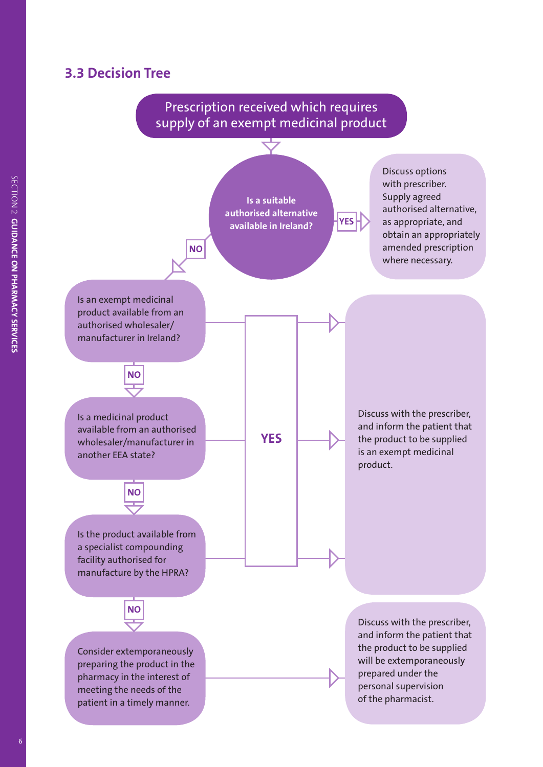#### **3.3 Decision Tree**

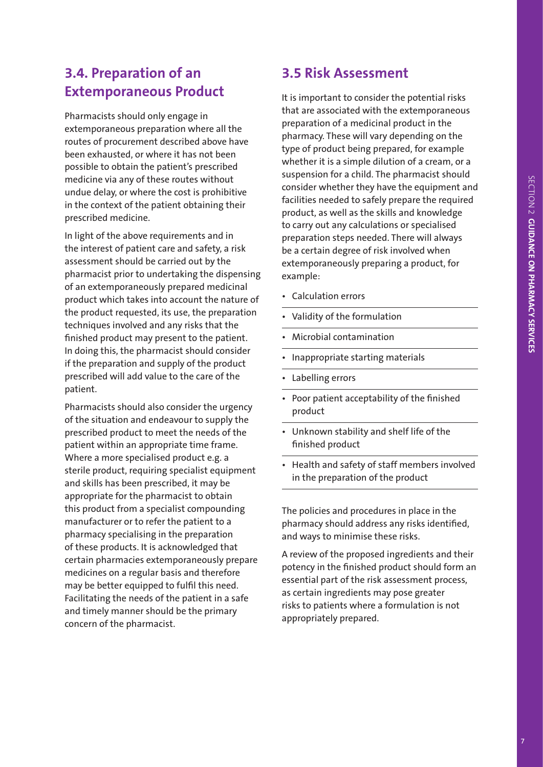### **3.4. Preparation of an Extemporaneous Product**

Pharmacists should only engage in extemporaneous preparation where all the routes of procurement described above have been exhausted, or where it has not been possible to obtain the patient's prescribed medicine via any of these routes without undue delay, or where the cost is prohibitive in the context of the patient obtaining their prescribed medicine.

In light of the above requirements and in the interest of patient care and safety, a risk assessment should be carried out by the pharmacist prior to undertaking the dispensing of an extemporaneously prepared medicinal product which takes into account the nature of the product requested, its use, the preparation techniques involved and any risks that the finished product may present to the patient. In doing this, the pharmacist should consider if the preparation and supply of the product prescribed will add value to the care of the patient.

Pharmacists should also consider the urgency of the situation and endeavour to supply the prescribed product to meet the needs of the patient within an appropriate time frame. Where a more specialised product e.g. a sterile product, requiring specialist equipment and skills has been prescribed, it may be appropriate for the pharmacist to obtain this product from a specialist compounding manufacturer or to refer the patient to a pharmacy specialising in the preparation of these products. It is acknowledged that certain pharmacies extemporaneously prepare medicines on a regular basis and therefore may be better equipped to fulfil this need. Facilitating the needs of the patient in a safe and timely manner should be the primary concern of the pharmacist.

## **3.5 Risk Assessment**

It is important to consider the potential risks that are associated with the extemporaneous preparation of a medicinal product in the pharmacy. These will vary depending on the type of product being prepared, for example whether it is a simple dilution of a cream, or a suspension for a child. The pharmacist should consider whether they have the equipment and facilities needed to safely prepare the required product, as well as the skills and knowledge to carry out any calculations or specialised preparation steps needed. There will always be a certain degree of risk involved when extemporaneously preparing a product, for example:

- • Calculation errors
- Validity of the formulation
- **Microbial contamination**
- Inappropriate starting materials
- Labelling errors
- Poor patient acceptability of the finished product
- • Unknown stability and shelf life of the finished product
- Health and safety of staff members involved in the preparation of the product

The policies and procedures in place in the pharmacy should address any risks identified, and ways to minimise these risks.

A review of the proposed ingredients and their potency in the finished product should form an essential part of the risk assessment process, as certain ingredients may pose greater risks to patients where a formulation is not appropriately prepared.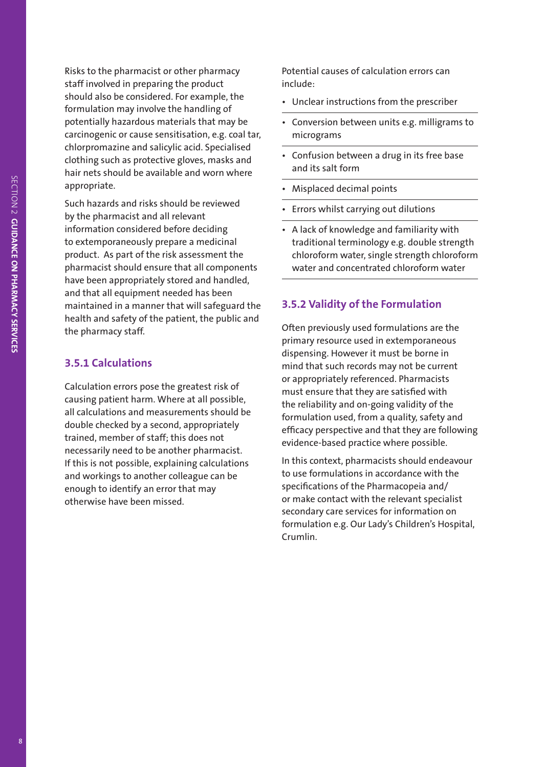Risks to the pharmacist or other pharmacy staff involved in preparing the product should also be considered. For example, the formulation may involve the handling of potentially hazardous materials that may be carcinogenic or cause sensitisation, e.g. coal tar, chlorpromazine and salicylic acid. Specialised clothing such as protective gloves, masks and hair nets should be available and worn where appropriate.

Such hazards and risks should be reviewed by the pharmacist and all relevant information considered before deciding to extemporaneously prepare a medicinal product. As part of the risk assessment the pharmacist should ensure that all components have been appropriately stored and handled, and that all equipment needed has been maintained in a manner that will safeguard the health and safety of the patient, the public and the pharmacy staff.

#### **3.5.1 Calculations**

Calculation errors pose the greatest risk of causing patient harm. Where at all possible, all calculations and measurements should be double checked by a second, appropriately trained, member of staff; this does not necessarily need to be another pharmacist. If this is not possible, explaining calculations and workings to another colleague can be enough to identify an error that may otherwise have been missed.

Potential causes of calculation errors can include:

- Unclear instructions from the prescriber
- • Conversion between units e.g. milligrams to micrograms
- • Confusion between a drug in its free base and its salt form
- Misplaced decimal points
- Errors whilst carrying out dilutions
- A lack of knowledge and familiarity with traditional terminology e.g. double strength chloroform water, single strength chloroform water and concentrated chloroform water

#### **3.5.2 Validity of the Formulation**

Often previously used formulations are the primary resource used in extemporaneous dispensing. However it must be borne in mind that such records may not be current or appropriately referenced. Pharmacists must ensure that they are satisfied with the reliability and on-going validity of the formulation used, from a quality, safety and efficacy perspective and that they are following evidence-based practice where possible.

In this context, pharmacists should endeavour to use formulations in accordance with the specifications of the Pharmacopeia and/ or make contact with the relevant specialist secondary care services for information on formulation e.g. Our Lady's Children's Hospital, Crumlin.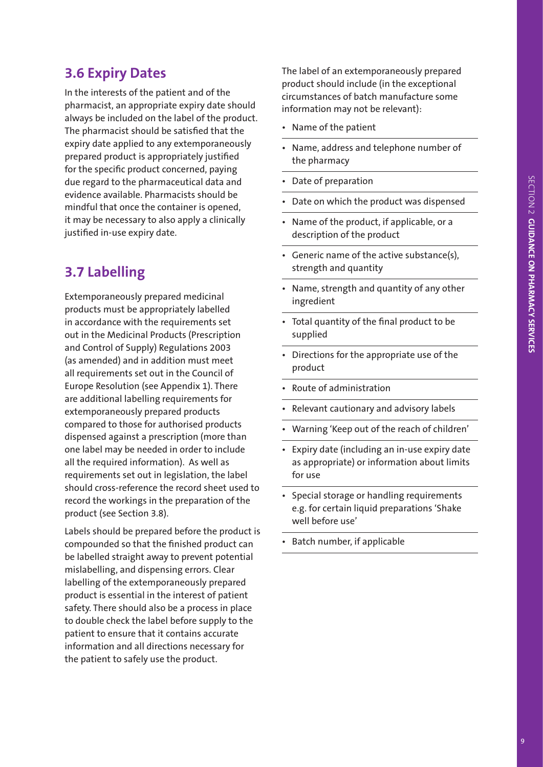## **3.6 Expiry Dates**

In the interests of the patient and of the pharmacist, an appropriate expiry date should always be included on the label of the product. The pharmacist should be satisfied that the expiry date applied to any extemporaneously prepared product is appropriately justified for the specific product concerned, paying due regard to the pharmaceutical data and evidence available. Pharmacists should be mindful that once the container is opened, it may be necessary to also apply a clinically justified in-use expiry date.

## **3.7 Labelling**

Extemporaneously prepared medicinal products must be appropriately labelled in accordance with the requirements set out in the Medicinal Products (Prescription and Control of Supply) Regulations 2003 (as amended) and in addition must meet all requirements set out in the Council of Europe Resolution (see Appendix 1). There are additional labelling requirements for extemporaneously prepared products compared to those for authorised products dispensed against a prescription (more than one label may be needed in order to include all the required information). As well as requirements set out in legislation, the label should cross-reference the record sheet used to record the workings in the preparation of the product (see Section 3.8).

Labels should be prepared before the product is compounded so that the finished product can be labelled straight away to prevent potential mislabelling, and dispensing errors. Clear labelling of the extemporaneously prepared product is essential in the interest of patient safety. There should also be a process in place to double check the label before supply to the patient to ensure that it contains accurate information and all directions necessary for the patient to safely use the product.

The label of an extemporaneously prepared product should include (in the exceptional circumstances of batch manufacture some information may not be relevant):

- • Name of the patient
- Name, address and telephone number of the pharmacy
- Date of preparation
- Date on which the product was dispensed
- Name of the product, if applicable, or a description of the product
- • Generic name of the active substance(s), strength and quantity
- Name, strength and quantity of any other ingredient
- Total quantity of the final product to be supplied
- Directions for the appropriate use of the product
- Route of administration
- Relevant cautionary and advisory labels
- Warning 'Keep out of the reach of children'
- Expiry date (including an in-use expiry date as appropriate) or information about limits for use
- Special storage or handling requirements e.g. for certain liquid preparations 'Shake well before use'
- Batch number, if applicable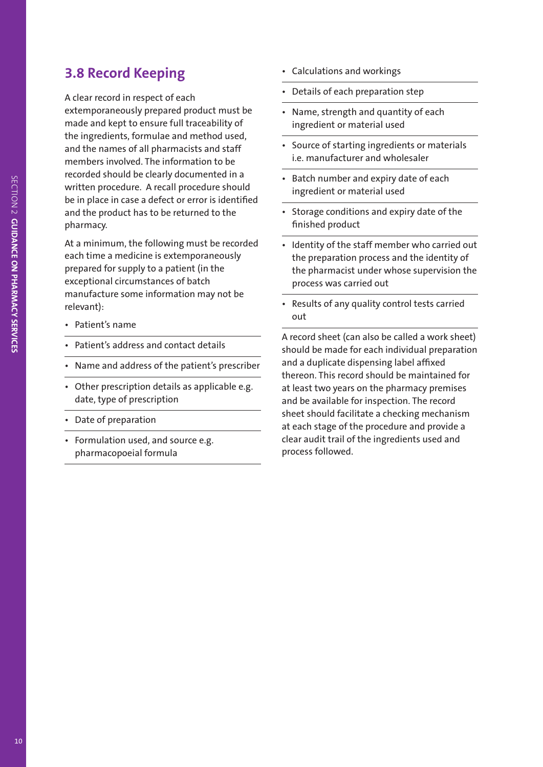### **3.8 Record Keeping**

A clear record in respect of each extemporaneously prepared product must be made and kept to ensure full traceability of the ingredients, formulae and method used, and the names of all pharmacists and staff members involved. The information to be recorded should be clearly documented in a written procedure. A recall procedure should be in place in case a defect or error is identified and the product has to be returned to the pharmacy.

At a minimum, the following must be recorded each time a medicine is extemporaneously prepared for supply to a patient (in the exceptional circumstances of batch manufacture some information may not be relevant):

- • Patient's name
- Patient's address and contact details
- Name and address of the patient's prescriber
- Other prescription details as applicable e.g. date, type of prescription
- Date of preparation
- • Formulation used, and source e.g. pharmacopoeial formula
- • Calculations and workings
- Details of each preparation step
- Name, strength and quantity of each ingredient or material used
- • Source of starting ingredients or materials i.e. manufacturer and wholesaler
- Batch number and expiry date of each ingredient or material used
- Storage conditions and expiry date of the finished product
- Identity of the staff member who carried out the preparation process and the identity of the pharmacist under whose supervision the process was carried out
- Results of any quality control tests carried out

A record sheet (can also be called a work sheet) should be made for each individual preparation and a duplicate dispensing label affixed thereon. This record should be maintained for at least two years on the pharmacy premises and be available for inspection. The record sheet should facilitate a checking mechanism at each stage of the procedure and provide a clear audit trail of the ingredients used and process followed.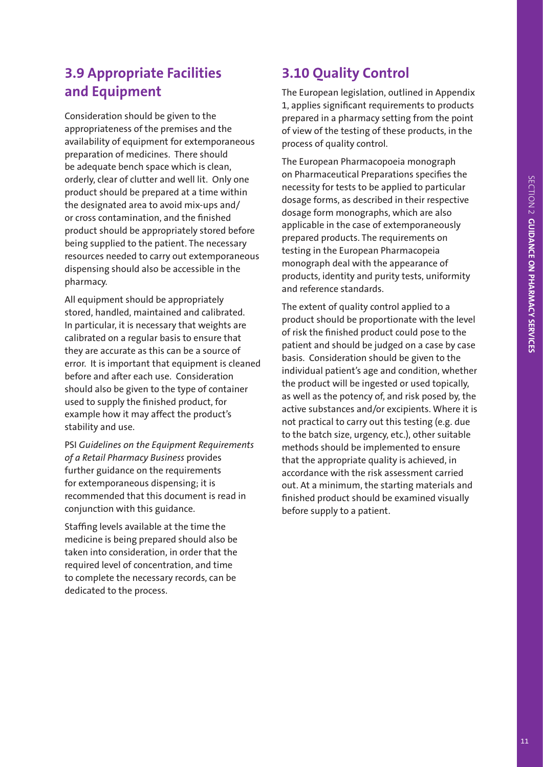### **3.9 Appropriate Facilities and Equipment**

Consideration should be given to the appropriateness of the premises and the availability of equipment for extemporaneous preparation of medicines. There should be adequate bench space which is clean, orderly, clear of clutter and well lit. Only one product should be prepared at a time within the designated area to avoid mix-ups and/ or cross contamination, and the finished product should be appropriately stored before being supplied to the patient. The necessary resources needed to carry out extemporaneous dispensing should also be accessible in the pharmacy.

All equipment should be appropriately stored, handled, maintained and calibrated. In particular, it is necessary that weights are calibrated on a regular basis to ensure that they are accurate as this can be a source of error. It is important that equipment is cleaned before and after each use. Consideration should also be given to the type of container used to supply the finished product, for example how it may affect the product's stability and use.

PSI *Guidelines on the Equipment Requirements of a Retail Pharmacy Business* provides further guidance on the requirements for extemporaneous dispensing; it is recommended that this document is read in conjunction with this guidance.

Staffing levels available at the time the medicine is being prepared should also be taken into consideration, in order that the required level of concentration, and time to complete the necessary records, can be dedicated to the process.

## **3.10 Quality Control**

The European legislation, outlined in Appendix 1, applies significant requirements to products prepared in a pharmacy setting from the point of view of the testing of these products, in the process of quality control.

The European Pharmacopoeia monograph on Pharmaceutical Preparations specifies the necessity for tests to be applied to particular dosage forms, as described in their respective dosage form monographs, which are also applicable in the case of extemporaneously prepared products. The requirements on testing in the European Pharmacopeia monograph deal with the appearance of products, identity and purity tests, uniformity and reference standards.

The extent of quality control applied to a product should be proportionate with the level of risk the finished product could pose to the patient and should be judged on a case by case basis. Consideration should be given to the individual patient's age and condition, whether the product will be ingested or used topically, as well as the potency of, and risk posed by, the active substances and/or excipients. Where it is not practical to carry out this testing (e.g. due to the batch size, urgency, etc.), other suitable methods should be implemented to ensure that the appropriate quality is achieved, in accordance with the risk assessment carried out. At a minimum, the starting materials and finished product should be examined visually before supply to a patient.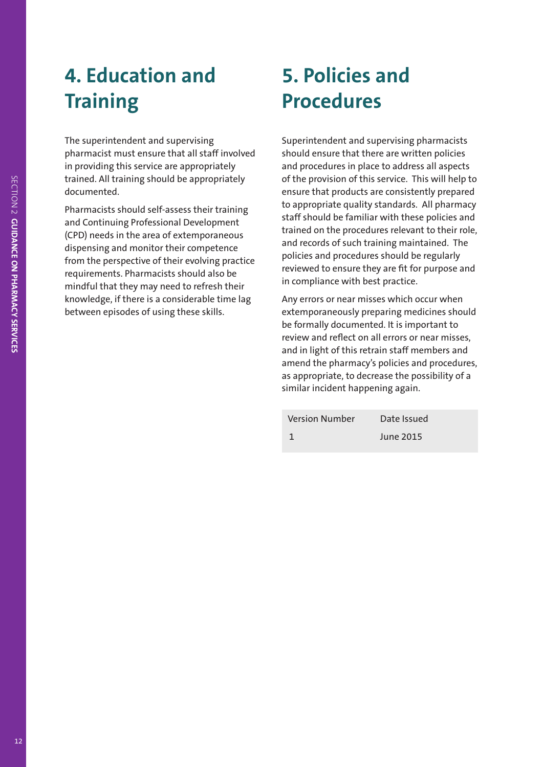# **4. Education and Training**

The superintendent and supervising pharmacist must ensure that all staff involved in providing this service are appropriately trained. All training should be appropriately documented.

Pharmacists should self-assess their training and Continuing Professional Development (CPD) needs in the area of extemporaneous dispensing and monitor their competence from the perspective of their evolving practice requirements. Pharmacists should also be mindful that they may need to refresh their knowledge, if there is a considerable time lag between episodes of using these skills.

## **5. Policies and Procedures**

Superintendent and supervising pharmacists should ensure that there are written policies and procedures in place to address all aspects of the provision of this service. This will help to ensure that products are consistently prepared to appropriate quality standards. All pharmacy staff should be familiar with these policies and trained on the procedures relevant to their role, and records of such training maintained. The policies and procedures should be regularly reviewed to ensure they are fit for purpose and in compliance with best practice.

Any errors or near misses which occur when extemporaneously preparing medicines should be formally documented. It is important to review and reflect on all errors or near misses, and in light of this retrain staff members and amend the pharmacy's policies and procedures, as appropriate, to decrease the possibility of a similar incident happening again.

| <b>Version Number</b> | Date Issued |
|-----------------------|-------------|
|                       | June 2015   |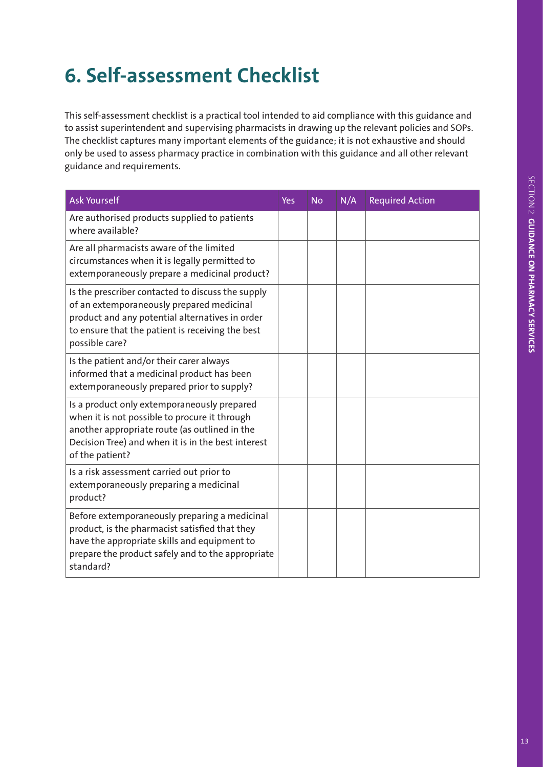# **6. Self-assessment Checklist**

This self-assessment checklist is a practical tool intended to aid compliance with this guidance and to assist superintendent and supervising pharmacists in drawing up the relevant policies and SOPs. The checklist captures many important elements of the guidance; it is not exhaustive and should only be used to assess pharmacy practice in combination with this guidance and all other relevant guidance and requirements.

| <b>Ask Yourself</b>                                                                                                                                                                                                     | <b>Yes</b> | <b>No</b> | N/A | <b>Required Action</b> |
|-------------------------------------------------------------------------------------------------------------------------------------------------------------------------------------------------------------------------|------------|-----------|-----|------------------------|
| Are authorised products supplied to patients<br>where available?                                                                                                                                                        |            |           |     |                        |
| Are all pharmacists aware of the limited<br>circumstances when it is legally permitted to<br>extemporaneously prepare a medicinal product?                                                                              |            |           |     |                        |
| Is the prescriber contacted to discuss the supply<br>of an extemporaneously prepared medicinal<br>product and any potential alternatives in order<br>to ensure that the patient is receiving the best<br>possible care? |            |           |     |                        |
| Is the patient and/or their carer always<br>informed that a medicinal product has been<br>extemporaneously prepared prior to supply?                                                                                    |            |           |     |                        |
| Is a product only extemporaneously prepared<br>when it is not possible to procure it through<br>another appropriate route (as outlined in the<br>Decision Tree) and when it is in the best interest<br>of the patient?  |            |           |     |                        |
| Is a risk assessment carried out prior to<br>extemporaneously preparing a medicinal<br>product?                                                                                                                         |            |           |     |                        |
| Before extemporaneously preparing a medicinal<br>product, is the pharmacist satisfied that they<br>have the appropriate skills and equipment to<br>prepare the product safely and to the appropriate<br>standard?       |            |           |     |                        |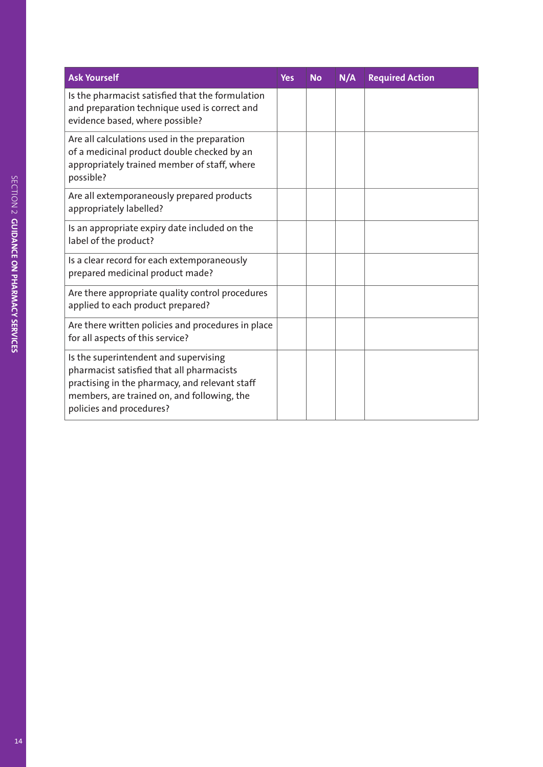| <b>Ask Yourself</b>                                                                                                                                                                                             | <b>Yes</b> | <b>No</b> | N/A | <b>Required Action</b> |
|-----------------------------------------------------------------------------------------------------------------------------------------------------------------------------------------------------------------|------------|-----------|-----|------------------------|
| Is the pharmacist satisfied that the formulation<br>and preparation technique used is correct and<br>evidence based, where possible?                                                                            |            |           |     |                        |
| Are all calculations used in the preparation<br>of a medicinal product double checked by an<br>appropriately trained member of staff, where<br>possible?                                                        |            |           |     |                        |
| Are all extemporaneously prepared products<br>appropriately labelled?                                                                                                                                           |            |           |     |                        |
| Is an appropriate expiry date included on the<br>label of the product?                                                                                                                                          |            |           |     |                        |
| Is a clear record for each extemporaneously<br>prepared medicinal product made?                                                                                                                                 |            |           |     |                        |
| Are there appropriate quality control procedures<br>applied to each product prepared?                                                                                                                           |            |           |     |                        |
| Are there written policies and procedures in place<br>for all aspects of this service?                                                                                                                          |            |           |     |                        |
| Is the superintendent and supervising<br>pharmacist satisfied that all pharmacists<br>practising in the pharmacy, and relevant staff<br>members, are trained on, and following, the<br>policies and procedures? |            |           |     |                        |